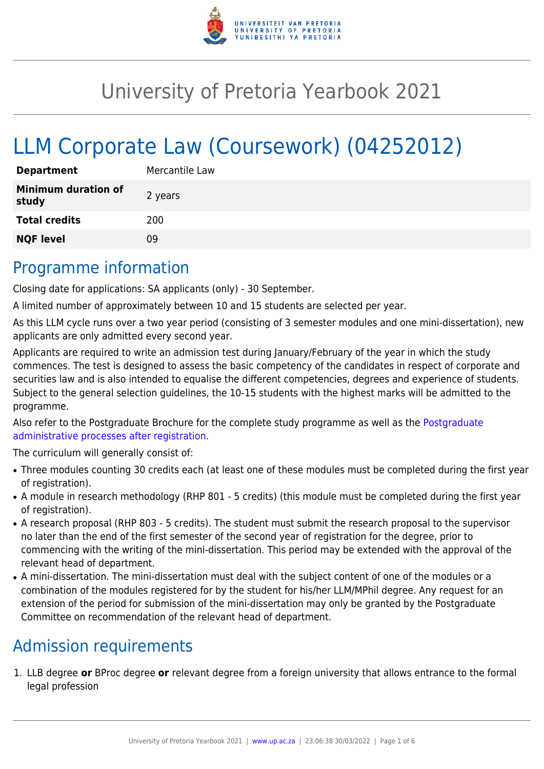

# University of Pretoria Yearbook 2021

# LLM Corporate Law (Coursework) (04252012)

| <b>Department</b>                   | Mercantile Law |
|-------------------------------------|----------------|
| <b>Minimum duration of</b><br>study | 2 years        |
| <b>Total credits</b>                | 200            |
| <b>NQF level</b>                    | Ωd             |

# Programme information

Closing date for applications: SA applicants (only) - 30 September.

A limited number of approximately between 10 and 15 students are selected per year.

As this LLM cycle runs over a two year period (consisting of 3 semester modules and one mini-dissertation), new applicants are only admitted every second year.

Applicants are required to write an admission test during January/February of the year in which the study commences. The test is designed to assess the basic competency of the candidates in respect of corporate and securities law and is also intended to equalise the different competencies, degrees and experience of students. Subject to the general selection guidelines, the 10-15 students with the highest marks will be admitted to the programme.

Also refer to the Postgraduate Brochure for the complete study programme as well as the [Postgraduate](http://www.up.ac.za/media/shared/10/ZP_Files/post-graduate-administrative-processes-brochures-for-the-faculty-web.zp124870.pdf) [administrative processes after registration.](http://www.up.ac.za/media/shared/10/ZP_Files/post-graduate-administrative-processes-brochures-for-the-faculty-web.zp124870.pdf)

The curriculum will generally consist of:

- Three modules counting 30 credits each (at least one of these modules must be completed during the first year of registration).
- A module in research methodology (RHP 801 5 credits) (this module must be completed during the first year of registration).
- A research proposal (RHP 803 5 credits). The student must submit the research proposal to the supervisor no later than the end of the first semester of the second year of registration for the degree, prior to commencing with the writing of the mini-dissertation. This period may be extended with the approval of the relevant head of department.
- A mini-dissertation. The mini-dissertation must deal with the subject content of one of the modules or a combination of the modules registered for by the student for his/her LLM/MPhil degree. Any request for an extension of the period for submission of the mini-dissertation may only be granted by the Postgraduate Committee on recommendation of the relevant head of department.

# Admission requirements

1. LLB degree **or** BProc degree **or** relevant degree from a foreign university that allows entrance to the formal legal profession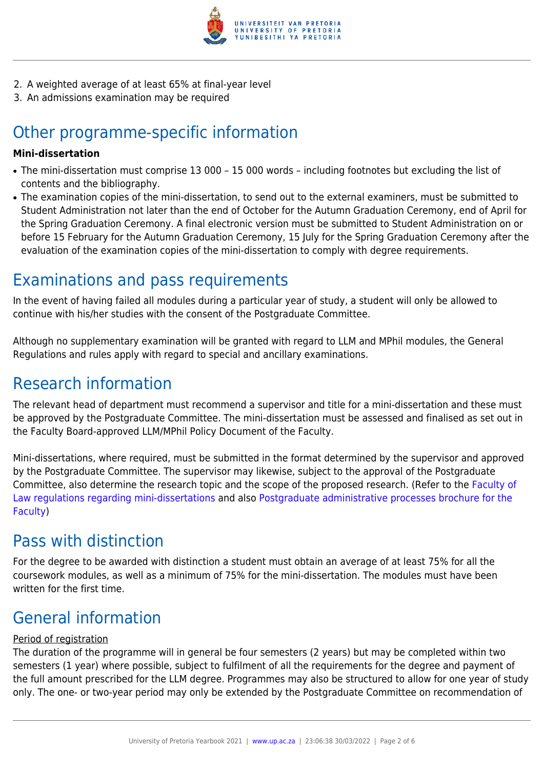

- 2. A weighted average of at least 65% at final-year level
- 3. An admissions examination may be required

# Other programme-specific information

#### **Mini-dissertation**

- The mini-dissertation must comprise 13 000 15 000 words including footnotes but excluding the list of contents and the bibliography.
- The examination copies of the mini-dissertation, to send out to the external examiners, must be submitted to Student Administration not later than the end of October for the Autumn Graduation Ceremony, end of April for the Spring Graduation Ceremony. A final electronic version must be submitted to Student Administration on or before 15 February for the Autumn Graduation Ceremony, 15 July for the Spring Graduation Ceremony after the evaluation of the examination copies of the mini-dissertation to comply with degree requirements.

## Examinations and pass requirements

In the event of having failed all modules during a particular year of study, a student will only be allowed to continue with his/her studies with the consent of the Postgraduate Committee.

Although no supplementary examination will be granted with regard to LLM and MPhil modules, the General Regulations and rules apply with regard to special and ancillary examinations.

## Research information

The relevant head of department must recommend a supervisor and title for a mini-dissertation and these must be approved by the Postgraduate Committee. The mini-dissertation must be assessed and finalised as set out in the Faculty Board-approved LLM/MPhil Policy Document of the Faculty.

Mini-dissertations, where required, must be submitted in the format determined by the supervisor and approved by the Postgraduate Committee. The supervisor may likewise, subject to the approval of the Postgraduate Committee, also determine the research topic and the scope of the proposed research. (Refer to the [Faculty of](http://www.up.ac.za/media/shared/10/ZP_Files/faculty-regulations-for-the-mini-dissertation.zp124872.pdf) [Law regulations regarding mini-dissertations](http://www.up.ac.za/media/shared/10/ZP_Files/faculty-regulations-for-the-mini-dissertation.zp124872.pdf) and also [Postgraduate administrative processes brochure for the](http://www.up.ac.za/media/shared/10/ZP_Files/post-graduate-administrative-processes-brochures-for-the-faculty-web.zp124870.pdf) [Faculty](http://www.up.ac.za/media/shared/10/ZP_Files/post-graduate-administrative-processes-brochures-for-the-faculty-web.zp124870.pdf))

# Pass with distinction

For the degree to be awarded with distinction a student must obtain an average of at least 75% for all the coursework modules, as well as a minimum of 75% for the mini-dissertation. The modules must have been written for the first time.

# General information

### Period of registration

The duration of the programme will in general be four semesters (2 years) but may be completed within two semesters (1 year) where possible, subject to fulfilment of all the requirements for the degree and payment of the full amount prescribed for the LLM degree. Programmes may also be structured to allow for one year of study only. The one- or two-year period may only be extended by the Postgraduate Committee on recommendation of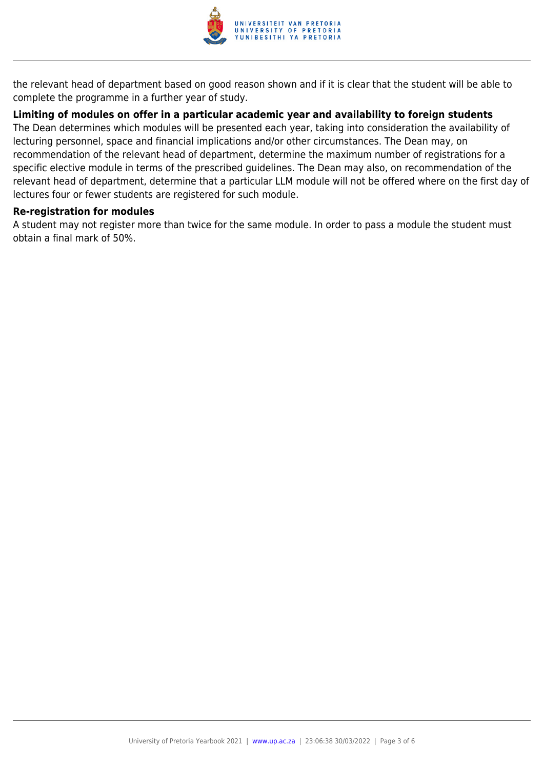

the relevant head of department based on good reason shown and if it is clear that the student will be able to complete the programme in a further year of study.

### **Limiting of modules on offer in a particular academic year and availability to foreign students**

The Dean determines which modules will be presented each year, taking into consideration the availability of lecturing personnel, space and financial implications and/or other circumstances. The Dean may, on recommendation of the relevant head of department, determine the maximum number of registrations for a specific elective module in terms of the prescribed guidelines. The Dean may also, on recommendation of the relevant head of department, determine that a particular LLM module will not be offered where on the first day of lectures four or fewer students are registered for such module.

#### **Re-registration for modules**

A student may not register more than twice for the same module. In order to pass a module the student must obtain a final mark of 50%.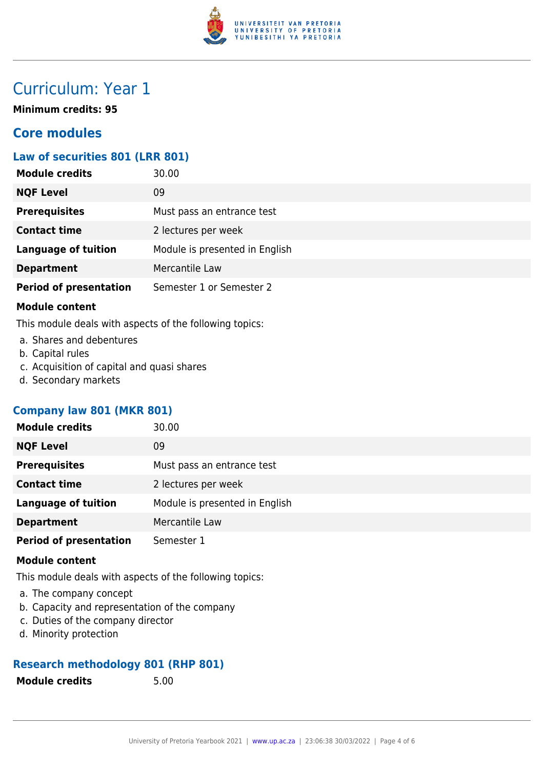

# Curriculum: Year 1

**Minimum credits: 95**

### **Core modules**

### **Law of securities 801 (LRR 801)**

| <b>Module credits</b>         | 30.00                          |
|-------------------------------|--------------------------------|
| <b>NQF Level</b>              | 09                             |
| <b>Prerequisites</b>          | Must pass an entrance test     |
| <b>Contact time</b>           | 2 lectures per week            |
| <b>Language of tuition</b>    | Module is presented in English |
| <b>Department</b>             | Mercantile Law                 |
| <b>Period of presentation</b> | Semester 1 or Semester 2       |

#### **Module content**

This module deals with aspects of the following topics:

- a. Shares and debentures
- b. Capital rules
- c. Acquisition of capital and quasi shares
- d. Secondary markets

### **Company law 801 (MKR 801)**

| <b>Module credits</b>         | 30.00                          |
|-------------------------------|--------------------------------|
| <b>NQF Level</b>              | 09                             |
| <b>Prerequisites</b>          | Must pass an entrance test     |
| <b>Contact time</b>           | 2 lectures per week            |
| <b>Language of tuition</b>    | Module is presented in English |
| <b>Department</b>             | Mercantile Law                 |
| <b>Period of presentation</b> | Semester 1                     |

#### **Module content**

This module deals with aspects of the following topics:

- a. The company concept
- b. Capacity and representation of the company
- c. Duties of the company director
- d. Minority protection

### **Research methodology 801 (RHP 801)**

**Module credits** 5.00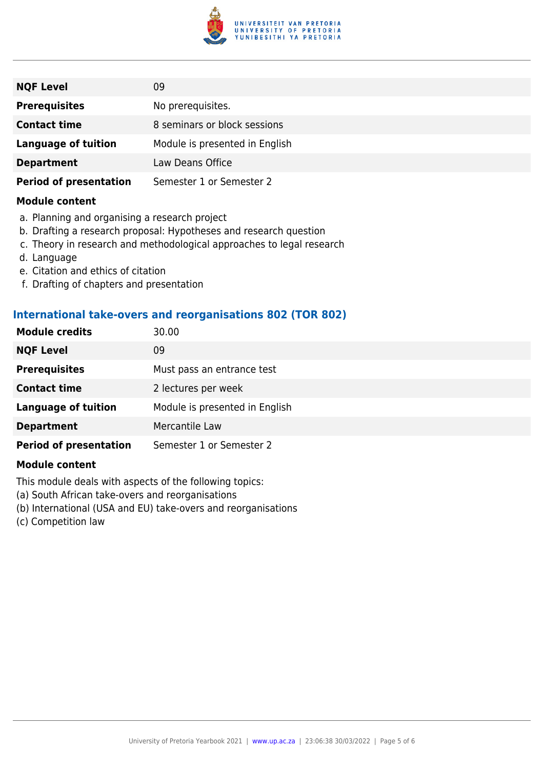

| <b>NQF Level</b>              | 09                             |
|-------------------------------|--------------------------------|
| <b>Prerequisites</b>          | No prerequisites.              |
| <b>Contact time</b>           | 8 seminars or block sessions   |
| <b>Language of tuition</b>    | Module is presented in English |
| <b>Department</b>             | Law Deans Office               |
| <b>Period of presentation</b> | Semester 1 or Semester 2       |

#### **Module content**

- a. Planning and organising a research project
- b. Drafting a research proposal: Hypotheses and research question
- c. Theory in research and methodological approaches to legal research
- d. Language
- e. Citation and ethics of citation
- f. Drafting of chapters and presentation

#### **International take-overs and reorganisations 802 (TOR 802)**

| <b>Module credits</b>         | 30.00                          |
|-------------------------------|--------------------------------|
| <b>NQF Level</b>              | 09                             |
| <b>Prerequisites</b>          | Must pass an entrance test     |
| <b>Contact time</b>           | 2 lectures per week            |
| <b>Language of tuition</b>    | Module is presented in English |
| <b>Department</b>             | Mercantile Law                 |
| <b>Period of presentation</b> | Semester 1 or Semester 2       |

#### **Module content**

This module deals with aspects of the following topics:

- (a) South African take-overs and reorganisations
- (b) International (USA and EU) take-overs and reorganisations
- (c) Competition law